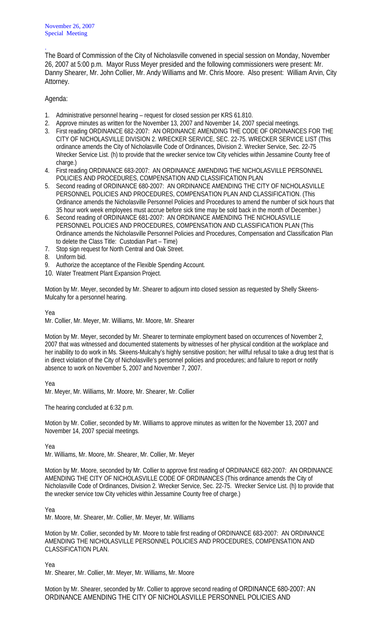November 26, 2007 Special Meeting

The Board of Commission of the City of Nicholasville convened in special session on Monday, November 26, 2007 at 5:00 p.m. Mayor Russ Meyer presided and the following commissioners were present: Mr. Danny Shearer, Mr. John Collier, Mr. Andy Williams and Mr. Chris Moore. Also present: William Arvin, City Attorney.

## Agenda:

.

- 1. Administrative personnel hearing request for closed session per KRS 61.810.
- 2. Approve minutes as written for the November 13, 2007 and November 14, 2007 special meetings.
- 3. First reading ORDINANCE 682-2007: AN ORDINANCE AMENDING THE CODE OF ORDINANCES FOR THE CITY OF NICHOLASVILLE DIVISION 2. WRECKER SERVICE, SEC. 22-75. WRECKER SERVICE LIST (This ordinance amends the City of Nicholasville Code of Ordinances, Division 2. Wrecker Service, Sec. 22-75 Wrecker Service List. (h) to provide that the wrecker service tow City vehicles within Jessamine County free of charge.)
- 4. First reading ORDINANCE 683-2007: AN ORDINANCE AMENDING THE NICHOLASVILLE PERSONNEL POLICIES AND PROCEDURES, COMPENSATION AND CLASSIFICATION PLAN
- 5. Second reading of ORDINANCE 680-2007: AN ORDINANCE AMENDING THE CITY OF NICHOLASVILLE PERSONNEL POLICIES AND PROCEDURES, COMPENSATION PLAN AND CLASSIFICATION. (This Ordinance amends the Nicholasville Personnel Policies and Procedures to amend the number of sick hours that 35 hour work week employees must accrue before sick time may be sold back in the month of December.)
- 6. Second reading of ORDINANCE 681-2007: AN ORDINANCE AMENDING THE NICHOLASVILLE PERSONNEL POLICIES AND PROCEDURES, COMPENSATION AND CLASSIFICATION PLAN (This Ordinance amends the Nicholasville Personnel Policies and Procedures, Compensation and Classification Plan to delete the Class Title: Custodian Part – Time)
- 7. Stop sign request for North Central and Oak Street.
- 8. Uniform bid.
- 9. Authorize the acceptance of the Flexible Spending Account.
- 10. Water Treatment Plant Expansion Project.

Motion by Mr. Meyer, seconded by Mr. Shearer to adjourn into closed session as requested by Shelly Skeens-Mulcahy for a personnel hearing.

Yea

Mr. Collier, Mr. Meyer, Mr. Williams, Mr. Moore, Mr. Shearer

Motion by Mr. Meyer, seconded by Mr. Shearer to terminate employment based on occurrences of November 2, 2007 that was witnessed and documented statements by witnesses of her physical condition at the workplace and her inability to do work in Ms. Skeens-Mulcahy's highly sensitive position; her willful refusal to take a drug test that is in direct violation of the City of Nicholasville's personnel policies and procedures; and failure to report or notify absence to work on November 5, 2007 and November 7, 2007.

## Yea

Mr. Meyer, Mr. Williams, Mr. Moore, Mr. Shearer, Mr. Collier

The hearing concluded at 6:32 p.m.

Motion by Mr. Collier, seconded by Mr. Williams to approve minutes as written for the November 13, 2007 and November 14, 2007 special meetings.

Yea

Mr. Williams, Mr. Moore, Mr. Shearer, Mr. Collier, Mr. Meyer

Motion by Mr. Moore, seconded by Mr. Collier to approve first reading of ORDINANCE 682-2007: AN ORDINANCE AMENDING THE CITY OF NICHOLASVILLE CODE OF ORDINANCES (This ordinance amends the City of Nicholasville Code of Ordinances, Division 2. Wrecker Service, Sec. 22-75. Wrecker Service List. (h) to provide that the wrecker service tow City vehicles within Jessamine County free of charge.)

Yea

Mr. Moore, Mr. Shearer, Mr. Collier, Mr. Meyer, Mr. Williams

Motion by Mr. Collier, seconded by Mr. Moore to table first reading of ORDINANCE 683-2007: AN ORDINANCE AMENDING THE NICHOLASVILLE PERSONNEL POLICIES AND PROCEDURES, COMPENSATION AND CLASSIFICATION PLAN.

Yea

Mr. Shearer, Mr. Collier, Mr. Meyer, Mr. Williams, Mr. Moore

Motion by Mr. Shearer, seconded by Mr. Collier to approve second reading of ORDINANCE 680-2007: AN ORDINANCE AMENDING THE CITY OF NICHOLASVILLE PERSONNEL POLICIES AND